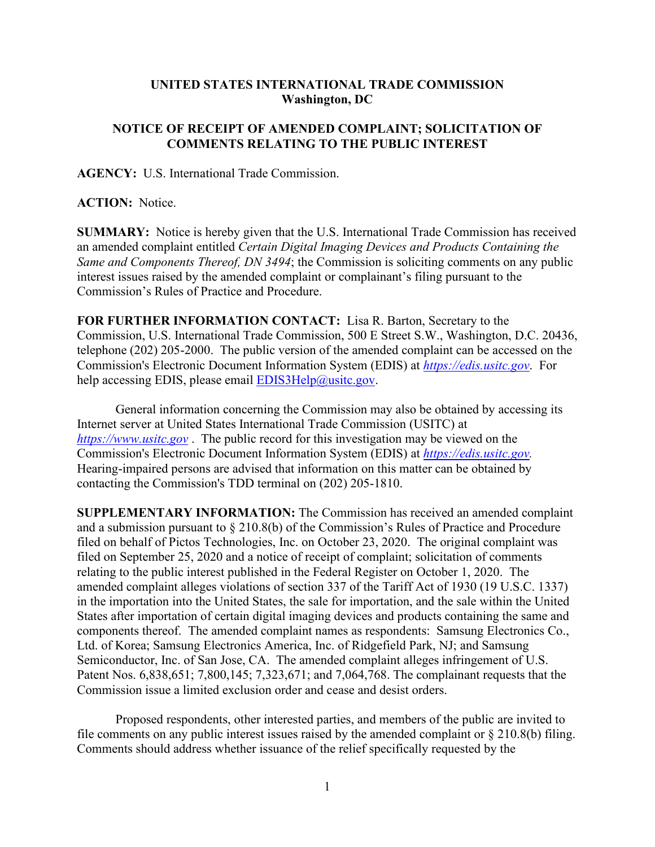## **UNITED STATES INTERNATIONAL TRADE COMMISSION Washington, DC**

## **NOTICE OF RECEIPT OF AMENDED COMPLAINT; SOLICITATION OF COMMENTS RELATING TO THE PUBLIC INTEREST**

**AGENCY:** U.S. International Trade Commission.

**ACTION:** Notice.

**SUMMARY:** Notice is hereby given that the U.S. International Trade Commission has received an amended complaint entitled *Certain Digital Imaging Devices and Products Containing the Same and Components Thereof, DN 3494*; the Commission is soliciting comments on any public interest issues raised by the amended complaint or complainant's filing pursuant to the Commission's Rules of Practice and Procedure.

**FOR FURTHER INFORMATION CONTACT:** Lisa R. Barton, Secretary to the Commission, U.S. International Trade Commission, 500 E Street S.W., Washington, D.C. 20436, telephone (202) 205-2000. The public version of the amended complaint can be accessed on the Commission's Electronic Document Information System (EDIS) at *[https://edis.usitc.gov](https://edis.usitc.gov/)*. For help accessing EDIS, please email  $EDIS3Help@usite.gov$ .

General information concerning the Commission may also be obtained by accessing its Internet server at United States International Trade Commission (USITC) at *[https://www.usitc.gov](https://www.usitc.gov/)* . The public record for this investigation may be viewed on the Commission's Electronic Document Information System (EDIS) at *[https://edis.usitc.gov.](https://edis.usitc.gov/)* Hearing-impaired persons are advised that information on this matter can be obtained by contacting the Commission's TDD terminal on (202) 205-1810.

**SUPPLEMENTARY INFORMATION:** The Commission has received an amended complaint and a submission pursuant to § 210.8(b) of the Commission's Rules of Practice and Procedure filed on behalf of Pictos Technologies, Inc. on October 23, 2020. The original complaint was filed on September 25, 2020 and a notice of receipt of complaint; solicitation of comments relating to the public interest published in the Federal Register on October 1, 2020. The amended complaint alleges violations of section 337 of the Tariff Act of 1930 (19 U.S.C. 1337) in the importation into the United States, the sale for importation, and the sale within the United States after importation of certain digital imaging devices and products containing the same and components thereof. The amended complaint names as respondents: Samsung Electronics Co., Ltd. of Korea; Samsung Electronics America, Inc. of Ridgefield Park, NJ; and Samsung Semiconductor, Inc. of San Jose, CA. The amended complaint alleges infringement of U.S. Patent Nos. 6,838,651; 7,800,145; 7,323,671; and 7,064,768. The complainant requests that the Commission issue a limited exclusion order and cease and desist orders.

Proposed respondents, other interested parties, and members of the public are invited to file comments on any public interest issues raised by the amended complaint or § 210.8(b) filing. Comments should address whether issuance of the relief specifically requested by the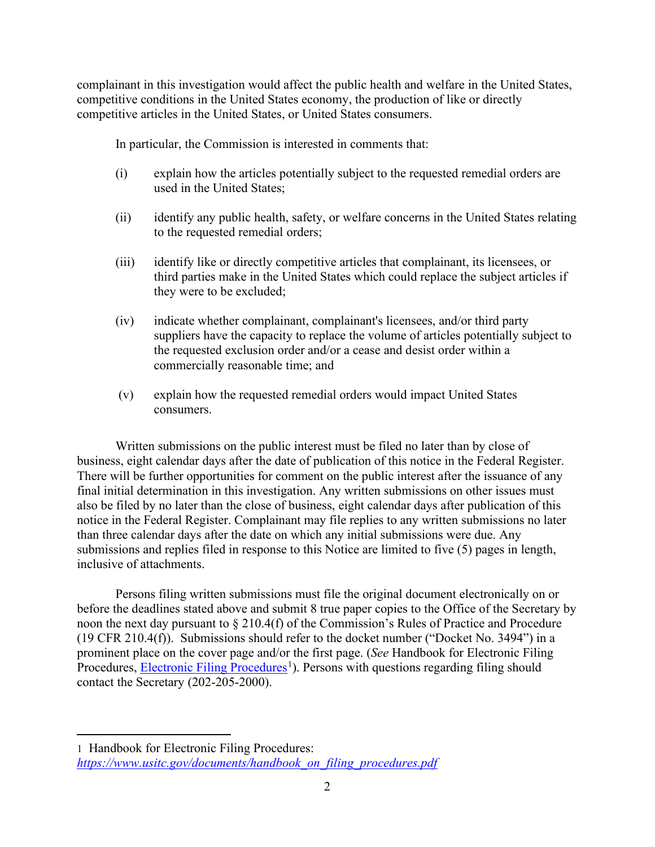complainant in this investigation would affect the public health and welfare in the United States, competitive conditions in the United States economy, the production of like or directly competitive articles in the United States, or United States consumers.

In particular, the Commission is interested in comments that:

- (i) explain how the articles potentially subject to the requested remedial orders are used in the United States;
- (ii) identify any public health, safety, or welfare concerns in the United States relating to the requested remedial orders;
- (iii) identify like or directly competitive articles that complainant, its licensees, or third parties make in the United States which could replace the subject articles if they were to be excluded;
- (iv) indicate whether complainant, complainant's licensees, and/or third party suppliers have the capacity to replace the volume of articles potentially subject to the requested exclusion order and/or a cease and desist order within a commercially reasonable time; and
- (v) explain how the requested remedial orders would impact United States consumers.

Written submissions on the public interest must be filed no later than by close of business, eight calendar days after the date of publication of this notice in the Federal Register. There will be further opportunities for comment on the public interest after the issuance of any final initial determination in this investigation. Any written submissions on other issues must also be filed by no later than the close of business, eight calendar days after publication of this notice in the Federal Register. Complainant may file replies to any written submissions no later than three calendar days after the date on which any initial submissions were due. Any submissions and replies filed in response to this Notice are limited to five (5) pages in length, inclusive of attachments.

Persons filing written submissions must file the original document electronically on or before the deadlines stated above and submit 8 true paper copies to the Office of the Secretary by noon the next day pursuant to § 210.4(f) of the Commission's Rules of Practice and Procedure (19 CFR 210.4(f)). Submissions should refer to the docket number ("Docket No. 3494") in a prominent place on the cover page and/or the first page. (*See* Handbook for Electronic Filing Procedures, **Electronic Filing Procedures**<sup>[1](#page-1-0)</sup>). Persons with questions regarding filing should contact the Secretary (202-205-2000).

<span id="page-1-0"></span><sup>1</sup> Handbook for Electronic Filing Procedures: *[https://www.usitc.gov/documents/handbook\\_on\\_filing\\_procedures.pdf](https://www.usitc.gov/documents/handbook_on_filing_procedures.pdf)*